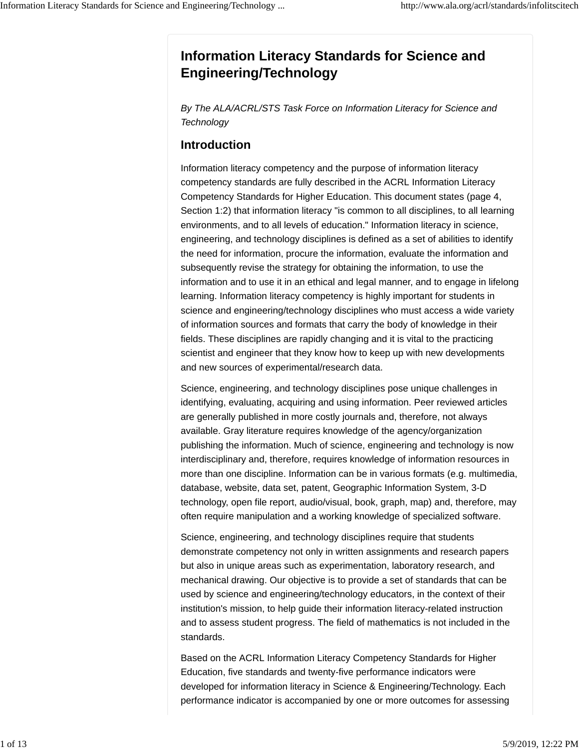# **Information Literacy Standards for Science and Engineering/Technology**

*By The ALA/ACRL/STS Task Force on Information Literacy for Science and Technology*

# **Introduction**

Information literacy competency and the purpose of information literacy competency standards are fully described in the ACRL Information Literacy Competency Standards for Higher Education. This document states (page 4, Section 1:2) that information literacy "is common to all disciplines, to all learning environments, and to all levels of education." Information literacy in science, engineering, and technology disciplines is defined as a set of abilities to identify the need for information, procure the information, evaluate the information and subsequently revise the strategy for obtaining the information, to use the information and to use it in an ethical and legal manner, and to engage in lifelong learning. Information literacy competency is highly important for students in science and engineering/technology disciplines who must access a wide variety of information sources and formats that carry the body of knowledge in their fields. These disciplines are rapidly changing and it is vital to the practicing scientist and engineer that they know how to keep up with new developments and new sources of experimental/research data.

Science, engineering, and technology disciplines pose unique challenges in identifying, evaluating, acquiring and using information. Peer reviewed articles are generally published in more costly journals and, therefore, not always available. Gray literature requires knowledge of the agency/organization publishing the information. Much of science, engineering and technology is now interdisciplinary and, therefore, requires knowledge of information resources in more than one discipline. Information can be in various formats (e.g. multimedia, database, website, data set, patent, Geographic Information System, 3-D technology, open file report, audio/visual, book, graph, map) and, therefore, may often require manipulation and a working knowledge of specialized software.

Science, engineering, and technology disciplines require that students demonstrate competency not only in written assignments and research papers but also in unique areas such as experimentation, laboratory research, and mechanical drawing. Our objective is to provide a set of standards that can be used by science and engineering/technology educators, in the context of their institution's mission, to help guide their information literacy-related instruction and to assess student progress. The field of mathematics is not included in the standards.

Based on the ACRL Information Literacy Competency Standards for Higher Education, five standards and twenty-five performance indicators were developed for information literacy in Science & Engineering/Technology. Each performance indicator is accompanied by one or more outcomes for assessing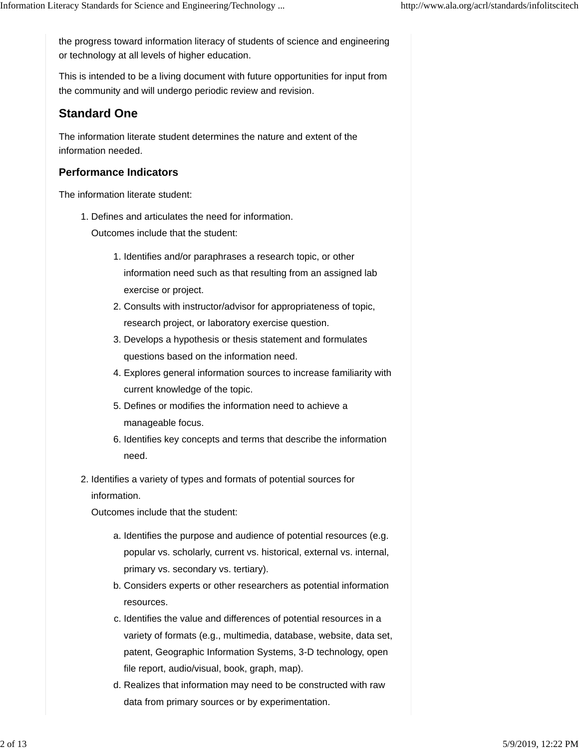the progress toward information literacy of students of science and engineering or technology at all levels of higher education.

This is intended to be a living document with future opportunities for input from the community and will undergo periodic review and revision.

# **Standard One**

The information literate student determines the nature and extent of the information needed.

### **Performance Indicators**

The information literate student:

1. Defines and articulates the need for information.

Outcomes include that the student:

- 1. Identifies and/or paraphrases a research topic, or other information need such as that resulting from an assigned lab exercise or project.
- 2. Consults with instructor/advisor for appropriateness of topic, research project, or laboratory exercise question.
- 3. Develops a hypothesis or thesis statement and formulates questions based on the information need.
- Explores general information sources to increase familiarity with 4. current knowledge of the topic.
- 5. Defines or modifies the information need to achieve a manageable focus.
- 6. Identifies key concepts and terms that describe the information need.
- 2. Identifies a variety of types and formats of potential sources for information.

- a. Identifies the purpose and audience of potential resources (e.g. popular vs. scholarly, current vs. historical, external vs. internal, primary vs. secondary vs. tertiary).
- b. Considers experts or other researchers as potential information resources.
- c. Identifies the value and differences of potential resources in a variety of formats (e.g., multimedia, database, website, data set, patent, Geographic Information Systems, 3-D technology, open file report, audio/visual, book, graph, map).
- d. Realizes that information may need to be constructed with raw data from primary sources or by experimentation.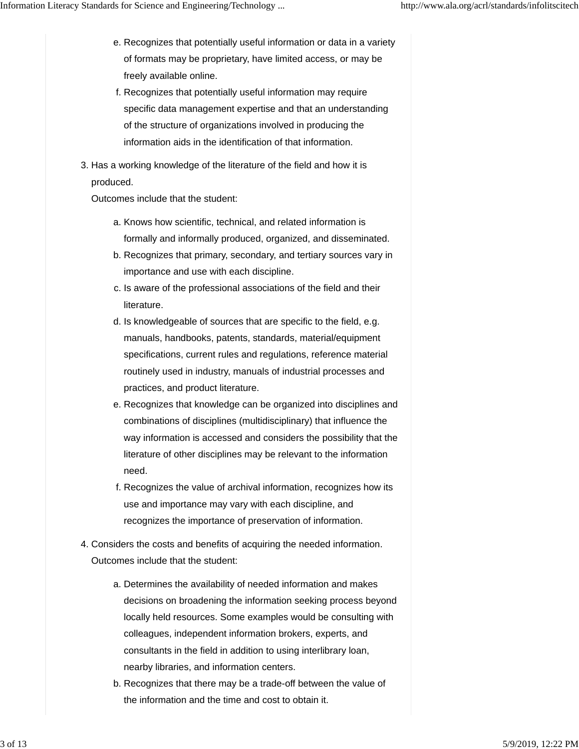- e. Recognizes that potentially useful information or data in a variety of formats may be proprietary, have limited access, or may be freely available online.
- f. Recognizes that potentially useful information may require specific data management expertise and that an understanding of the structure of organizations involved in producing the information aids in the identification of that information.
- 3. Has a working knowledge of the literature of the field and how it is produced.

- a. Knows how scientific, technical, and related information is formally and informally produced, organized, and disseminated.
- b. Recognizes that primary, secondary, and tertiary sources vary in importance and use with each discipline.
- c. Is aware of the professional associations of the field and their literature.
- d. Is knowledgeable of sources that are specific to the field, e.g. manuals, handbooks, patents, standards, material/equipment specifications, current rules and regulations, reference material routinely used in industry, manuals of industrial processes and practices, and product literature.
- e. Recognizes that knowledge can be organized into disciplines and combinations of disciplines (multidisciplinary) that influence the way information is accessed and considers the possibility that the literature of other disciplines may be relevant to the information need.
- f. Recognizes the value of archival information, recognizes how its use and importance may vary with each discipline, and recognizes the importance of preservation of information.
- Considers the costs and benefits of acquiring the needed information. 4. Outcomes include that the student:
	- a. Determines the availability of needed information and makes decisions on broadening the information seeking process beyond locally held resources. Some examples would be consulting with colleagues, independent information brokers, experts, and consultants in the field in addition to using interlibrary loan, nearby libraries, and information centers.
	- b. Recognizes that there may be a trade-off between the value of the information and the time and cost to obtain it.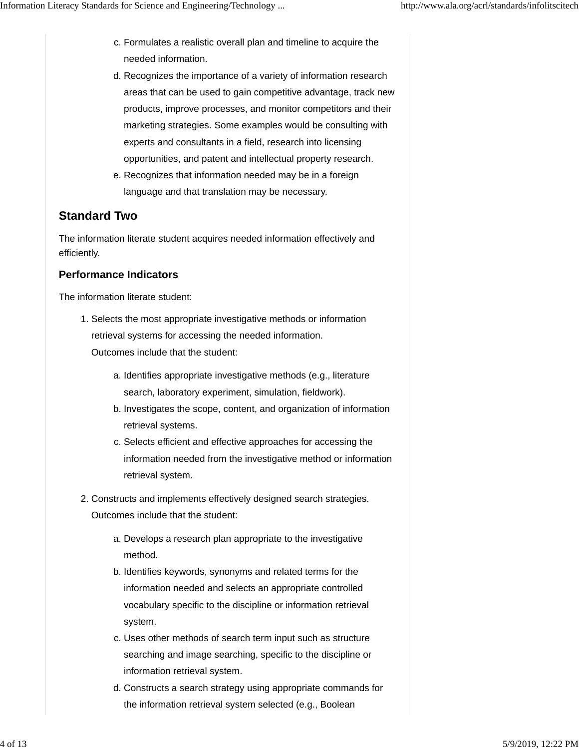- c. Formulates a realistic overall plan and timeline to acquire the needed information.
- d. Recognizes the importance of a variety of information research areas that can be used to gain competitive advantage, track new products, improve processes, and monitor competitors and their marketing strategies. Some examples would be consulting with experts and consultants in a field, research into licensing opportunities, and patent and intellectual property research.
- e. Recognizes that information needed may be in a foreign language and that translation may be necessary.

# **Standard Two**

The information literate student acquires needed information effectively and efficiently.

# **Performance Indicators**

The information literate student:

- 1. Selects the most appropriate investigative methods or information retrieval systems for accessing the needed information. Outcomes include that the student:
	- a. Identifies appropriate investigative methods (e.g., literature search, laboratory experiment, simulation, fieldwork).
	- b. Investigates the scope, content, and organization of information retrieval systems.
	- c. Selects efficient and effective approaches for accessing the information needed from the investigative method or information retrieval system.
- 2. Constructs and implements effectively designed search strategies. Outcomes include that the student:
	- a. Develops a research plan appropriate to the investigative method.
	- b. Identifies keywords, synonyms and related terms for the information needed and selects an appropriate controlled vocabulary specific to the discipline or information retrieval system.
	- c. Uses other methods of search term input such as structure searching and image searching, specific to the discipline or information retrieval system.
	- d. Constructs a search strategy using appropriate commands for the information retrieval system selected (e.g., Boolean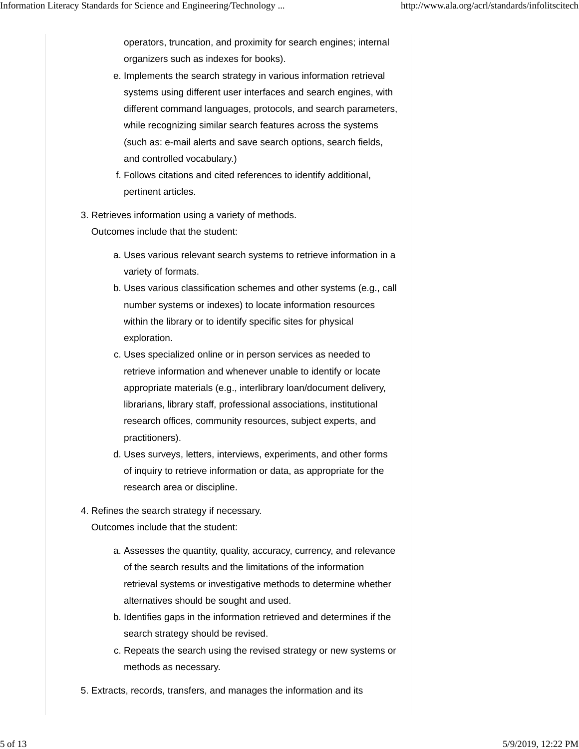operators, truncation, and proximity for search engines; internal organizers such as indexes for books).

- e. Implements the search strategy in various information retrieval systems using different user interfaces and search engines, with different command languages, protocols, and search parameters, while recognizing similar search features across the systems (such as: e-mail alerts and save search options, search fields, and controlled vocabulary.)
- Follows citations and cited references to identify additional, f. pertinent articles.
- 3. Retrieves information using a variety of methods.

- Uses various relevant search systems to retrieve information in a a. variety of formats.
- b. Uses various classification schemes and other systems (e.g., call number systems or indexes) to locate information resources within the library or to identify specific sites for physical exploration.
- c. Uses specialized online or in person services as needed to retrieve information and whenever unable to identify or locate appropriate materials (e.g., interlibrary loan/document delivery, librarians, library staff, professional associations, institutional research offices, community resources, subject experts, and practitioners).
- d. Uses surveys, letters, interviews, experiments, and other forms of inquiry to retrieve information or data, as appropriate for the research area or discipline.
- 4. Refines the search strategy if necessary. Outcomes include that the student:
	- a. Assesses the quantity, quality, accuracy, currency, and relevance of the search results and the limitations of the information retrieval systems or investigative methods to determine whether alternatives should be sought and used.
	- b. Identifies gaps in the information retrieved and determines if the search strategy should be revised.
	- c. Repeats the search using the revised strategy or new systems or methods as necessary.
- 5. Extracts, records, transfers, and manages the information and its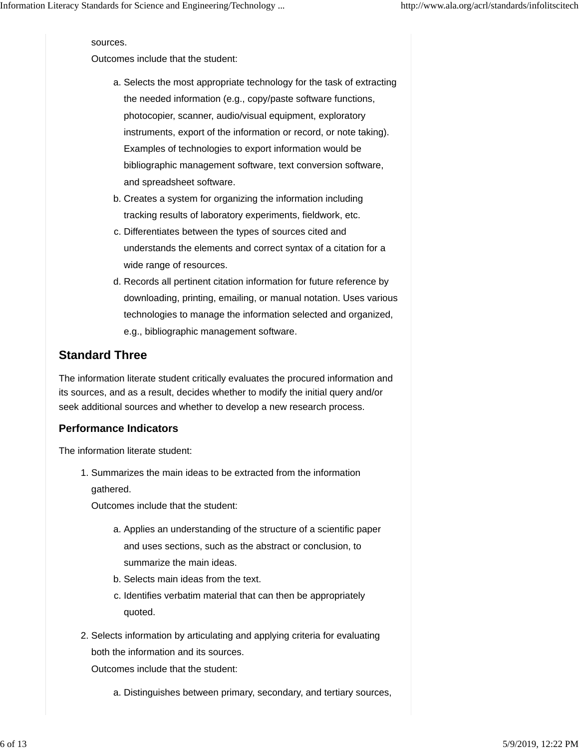#### sources.

Outcomes include that the student:

- a. Selects the most appropriate technology for the task of extracting the needed information (e.g., copy/paste software functions, photocopier, scanner, audio/visual equipment, exploratory instruments, export of the information or record, or note taking). Examples of technologies to export information would be bibliographic management software, text conversion software, and spreadsheet software.
- b. Creates a system for organizing the information including tracking results of laboratory experiments, fieldwork, etc.
- c. Differentiates between the types of sources cited and understands the elements and correct syntax of a citation for a wide range of resources.
- d. Records all pertinent citation information for future reference by downloading, printing, emailing, or manual notation. Uses various technologies to manage the information selected and organized, e.g., bibliographic management software.

### **Standard Three**

The information literate student critically evaluates the procured information and its sources, and as a result, decides whether to modify the initial query and/or seek additional sources and whether to develop a new research process.

### **Performance Indicators**

The information literate student:

1. Summarizes the main ideas to be extracted from the information gathered.

Outcomes include that the student:

- a. Applies an understanding of the structure of a scientific paper and uses sections, such as the abstract or conclusion, to summarize the main ideas.
- b. Selects main ideas from the text.
- c. Identifies verbatim material that can then be appropriately quoted.
- 2. Selects information by articulating and applying criteria for evaluating both the information and its sources.

Outcomes include that the student:

a. Distinguishes between primary, secondary, and tertiary sources,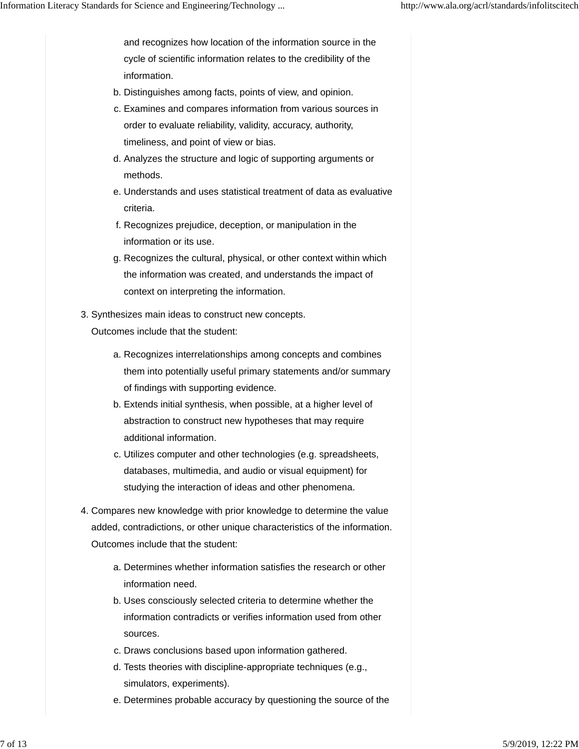and recognizes how location of the information source in the cycle of scientific information relates to the credibility of the information.

- b. Distinguishes among facts, points of view, and opinion.
- c. Examines and compares information from various sources in order to evaluate reliability, validity, accuracy, authority, timeliness, and point of view or bias.
- d. Analyzes the structure and logic of supporting arguments or methods.
- e. Understands and uses statistical treatment of data as evaluative criteria.
- f. Recognizes prejudice, deception, or manipulation in the information or its use.
- g. Recognizes the cultural, physical, or other context within which the information was created, and understands the impact of context on interpreting the information.
- Synthesizes main ideas to construct new concepts. 3.

- a. Recognizes interrelationships among concepts and combines them into potentially useful primary statements and/or summary of findings with supporting evidence.
- b. Extends initial synthesis, when possible, at a higher level of abstraction to construct new hypotheses that may require additional information.
- c. Utilizes computer and other technologies (e.g. spreadsheets, databases, multimedia, and audio or visual equipment) for studying the interaction of ideas and other phenomena.
- Compares new knowledge with prior knowledge to determine the value 4. added, contradictions, or other unique characteristics of the information. Outcomes include that the student:
	- a. Determines whether information satisfies the research or other information need.
	- b. Uses consciously selected criteria to determine whether the information contradicts or verifies information used from other sources.
	- c. Draws conclusions based upon information gathered.
	- d. Tests theories with discipline-appropriate techniques (e.g., simulators, experiments).
	- e. Determines probable accuracy by questioning the source of the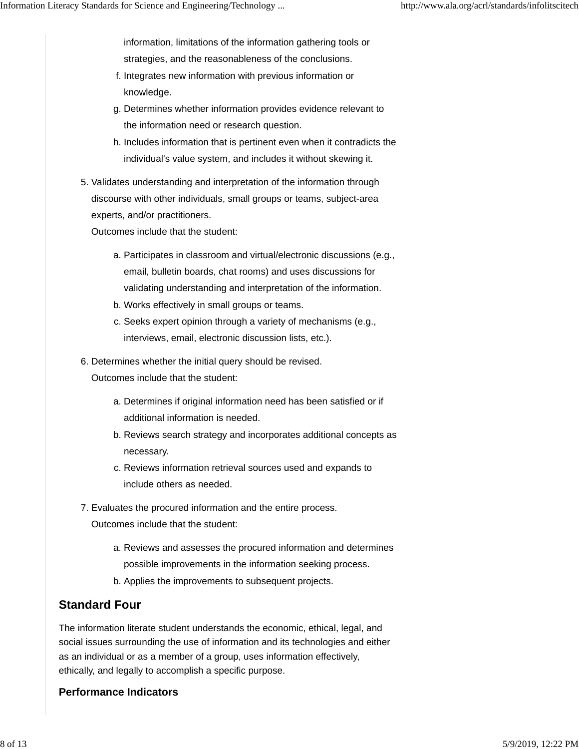information, limitations of the information gathering tools or strategies, and the reasonableness of the conclusions.

- f. Integrates new information with previous information or knowledge.
- g. Determines whether information provides evidence relevant to the information need or research question.
- h. Includes information that is pertinent even when it contradicts the individual's value system, and includes it without skewing it.
- 5. Validates understanding and interpretation of the information through discourse with other individuals, small groups or teams, subject-area experts, and/or practitioners.

Outcomes include that the student:

- Participates in classroom and virtual/electronic discussions (e.g., a. email, bulletin boards, chat rooms) and uses discussions for validating understanding and interpretation of the information.
- b. Works effectively in small groups or teams.
- c. Seeks expert opinion through a variety of mechanisms (e.g., interviews, email, electronic discussion lists, etc.).
- 6. Determines whether the initial query should be revised.

Outcomes include that the student:

- a. Determines if original information need has been satisfied or if additional information is needed.
- b. Reviews search strategy and incorporates additional concepts as necessary.
- c. Reviews information retrieval sources used and expands to include others as needed.
- 7. Evaluates the procured information and the entire process.

Outcomes include that the student:

- a. Reviews and assesses the procured information and determines possible improvements in the information seeking process.
- b. Applies the improvements to subsequent projects.

# **Standard Four**

The information literate student understands the economic, ethical, legal, and social issues surrounding the use of information and its technologies and either as an individual or as a member of a group, uses information effectively, ethically, and legally to accomplish a specific purpose.

### **Performance Indicators**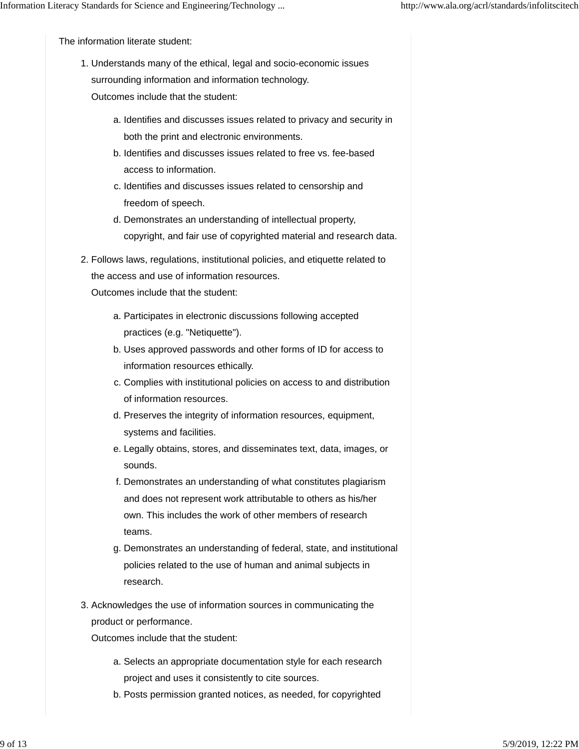The information literate student:

1. Understands many of the ethical, legal and socio-economic issues surrounding information and information technology.

Outcomes include that the student:

- a. Identifies and discusses issues related to privacy and security in both the print and electronic environments.
- b. Identifies and discusses issues related to free vs. fee-based access to information.
- c. Identifies and discusses issues related to censorship and freedom of speech.
- d. Demonstrates an understanding of intellectual property, copyright, and fair use of copyrighted material and research data.
- 2. Follows laws, regulations, institutional policies, and etiquette related to the access and use of information resources. Outcomes include that the student:
	- a. Participates in electronic discussions following accepted practices (e.g. "Netiquette").
	- b. Uses approved passwords and other forms of ID for access to information resources ethically.
	- c. Complies with institutional policies on access to and distribution of information resources.
	- d. Preserves the integrity of information resources, equipment, systems and facilities.
	- e. Legally obtains, stores, and disseminates text, data, images, or sounds.
	- f. Demonstrates an understanding of what constitutes plagiarism and does not represent work attributable to others as his/her own. This includes the work of other members of research teams.
	- g. Demonstrates an understanding of federal, state, and institutional policies related to the use of human and animal subjects in research.
- 3. Acknowledges the use of information sources in communicating the product or performance.

- a. Selects an appropriate documentation style for each research project and uses it consistently to cite sources.
- b. Posts permission granted notices, as needed, for copyrighted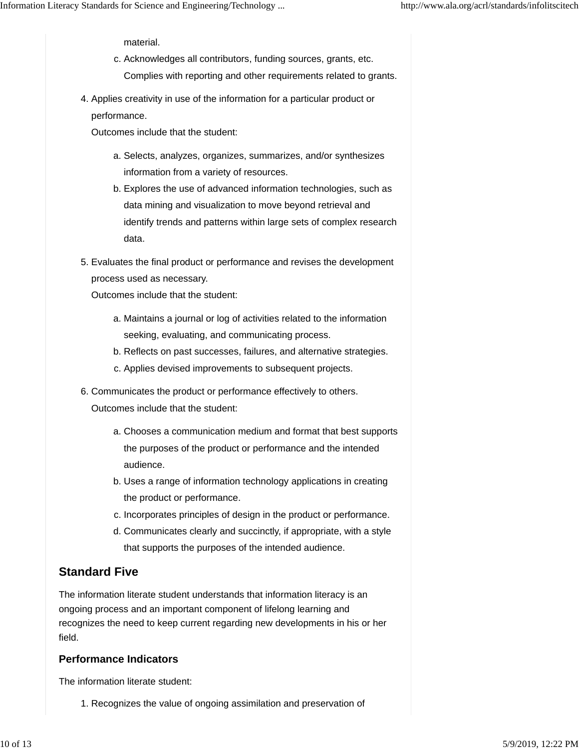material.

- c. Acknowledges all contributors, funding sources, grants, etc. Complies with reporting and other requirements related to grants.
- 4. Applies creativity in use of the information for a particular product or performance.

Outcomes include that the student:

- a. Selects, analyzes, organizes, summarizes, and/or synthesizes information from a variety of resources.
- b. Explores the use of advanced information technologies, such as data mining and visualization to move beyond retrieval and identify trends and patterns within large sets of complex research data.
- Evaluates the final product or performance and revises the development 5. process used as necessary.

Outcomes include that the student:

- Maintains a journal or log of activities related to the information a. seeking, evaluating, and communicating process.
- b. Reflects on past successes, failures, and alternative strategies.
- c. Applies devised improvements to subsequent projects.
- 6. Communicates the product or performance effectively to others. Outcomes include that the student:
	- Chooses a communication medium and format that best supports a. the purposes of the product or performance and the intended audience.
	- b. Uses a range of information technology applications in creating the product or performance.
	- c. Incorporates principles of design in the product or performance.
	- d. Communicates clearly and succinctly, if appropriate, with a style that supports the purposes of the intended audience.

# **Standard Five**

The information literate student understands that information literacy is an ongoing process and an important component of lifelong learning and recognizes the need to keep current regarding new developments in his or her field.

## **Performance Indicators**

The information literate student:

1. Recognizes the value of ongoing assimilation and preservation of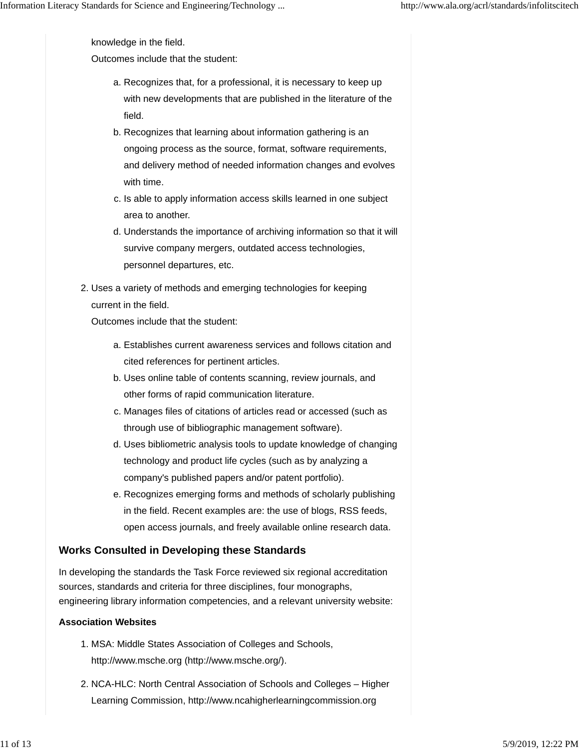knowledge in the field.

Outcomes include that the student:

- a. Recognizes that, for a professional, it is necessary to keep up with new developments that are published in the literature of the field.
- b. Recognizes that learning about information gathering is an ongoing process as the source, format, software requirements, and delivery method of needed information changes and evolves with time.
- c. Is able to apply information access skills learned in one subject area to another.
- d. Understands the importance of archiving information so that it will survive company mergers, outdated access technologies, personnel departures, etc.
- 2. Uses a variety of methods and emerging technologies for keeping current in the field.

Outcomes include that the student:

- Establishes current awareness services and follows citation and a. cited references for pertinent articles.
- b. Uses online table of contents scanning, review journals, and other forms of rapid communication literature.
- c. Manages files of citations of articles read or accessed (such as through use of bibliographic management software).
- d. Uses bibliometric analysis tools to update knowledge of changing technology and product life cycles (such as by analyzing a company's published papers and/or patent portfolio).
- e. Recognizes emerging forms and methods of scholarly publishing in the field. Recent examples are: the use of blogs, RSS feeds, open access journals, and freely available online research data.

### **Works Consulted in Developing these Standards**

In developing the standards the Task Force reviewed six regional accreditation sources, standards and criteria for three disciplines, four monographs, engineering library information competencies, and a relevant university website:

#### **Association Websites**

- MSA: Middle States Association of Colleges and Schools, 1. http://www.msche.org (http://www.msche.org/).
- 2. NCA-HLC: North Central Association of Schools and Colleges Higher Learning Commission, http://www.ncahigherlearningcommission.org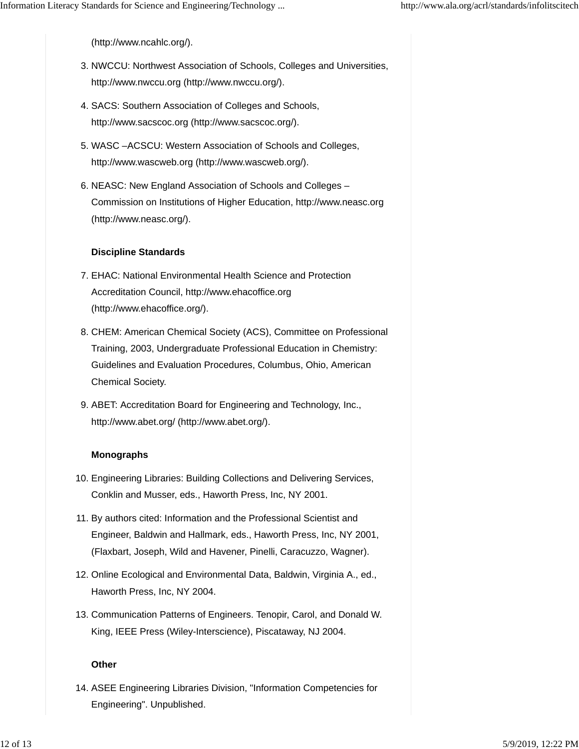(http://www.ncahlc.org/).

- 3. NWCCU: Northwest Association of Schools, Colleges and Universities, http://www.nwccu.org (http://www.nwccu.org/).
- SACS: Southern Association of Colleges and Schools, 4. http://www.sacscoc.org (http://www.sacscoc.org/).
- WASC –ACSCU: Western Association of Schools and Colleges, 5. http://www.wascweb.org (http://www.wascweb.org/).
- 6. NEASC: New England Association of Schools and Colleges -Commission on Institutions of Higher Education, http://www.neasc.org (http://www.neasc.org/).

#### **Discipline Standards**

- 7. EHAC: National Environmental Health Science and Protection Accreditation Council, http://www.ehacoffice.org (http://www.ehacoffice.org/).
- 8. CHEM: American Chemical Society (ACS), Committee on Professional Training, 2003, Undergraduate Professional Education in Chemistry: Guidelines and Evaluation Procedures, Columbus, Ohio, American Chemical Society.
- 9. ABET: Accreditation Board for Engineering and Technology, Inc., http://www.abet.org/ (http://www.abet.org/).

#### **Monographs**

- 10. Engineering Libraries: Building Collections and Delivering Services, Conklin and Musser, eds., Haworth Press, Inc, NY 2001.
- 11. By authors cited: Information and the Professional Scientist and Engineer, Baldwin and Hallmark, eds., Haworth Press, Inc, NY 2001, (Flaxbart, Joseph, Wild and Havener, Pinelli, Caracuzzo, Wagner).
- 12. Online Ecological and Environmental Data, Baldwin, Virginia A., ed., Haworth Press, Inc, NY 2004.
- 13. Communication Patterns of Engineers. Tenopir, Carol, and Donald W. King, IEEE Press (Wiley-Interscience), Piscataway, NJ 2004.

#### **Other**

14. ASEE Engineering Libraries Division, "Information Competencies for Engineering". Unpublished.